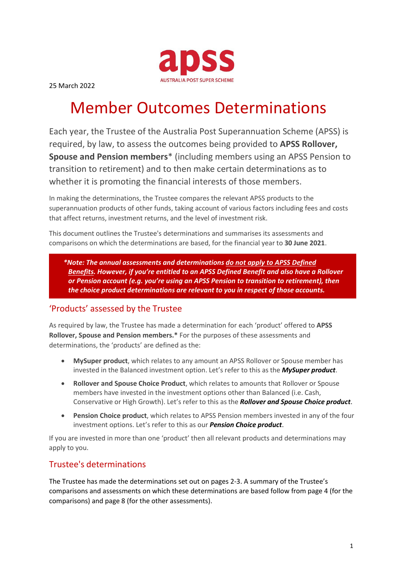

25 March 2022

# Member Outcomes Determinations

Each year, the Trustee of the Australia Post Superannuation Scheme (APSS) is required, by law, to assess the outcomes being provided to **APSS Rollover, Spouse and Pension members**\* (including members using an APSS Pension to transition to retirement) and to then make certain determinations as to whether it is promoting the financial interests of those members.

In making the determinations, the Trustee compares the relevant APSS products to the superannuation products of other funds, taking account of various factors including fees and costs that affect returns, investment returns, and the level of investment risk.

This document outlines the Trustee's determinations and summarises its assessments and comparisons on which the determinations are based, for the financial year to **30 June 2021**.

*\*Note: The annual assessments and determinations do not apply to APSS Defined Benefits. However, if you're entitled to an APSS Defined Benefit and also have a Rollover or Pension account (e.g. you're using an APSS Pension to transition to retirement), then the choice product determinations are relevant to you in respect of those accounts.*

# 'Products' assessed by the Trustee

As required by law, the Trustee has made a determination for each 'product' offered to **APSS Rollover, Spouse and Pension members.\*** For the purposes of these assessments and determinations, the 'products' are defined as the:

- **MySuper product**, which relates to any amount an APSS Rollover or Spouse member has invested in the Balanced investment option. Let's refer to this as the *MySuper product*.
- **Rollover and Spouse Choice Product**, which relates to amounts that Rollover or Spouse members have invested in the investment options other than Balanced (i.e. Cash, Conservative or High Growth). Let's refer to this as the *Rollover and Spouse Choice product*.
- **Pension Choice product**, which relates to APSS Pension members invested in any of the four investment options. Let's refer to this as our *Pension Choice product*.

If you are invested in more than one 'product' then all relevant products and determinations may apply to you.

# Trustee's determinations

The Trustee has made the determinations set out on pages 2-3. A summary of the Trustee's comparisons and assessments on which these determinations are based follow from page 4 (for the comparisons) and page 8 (for the other assessments).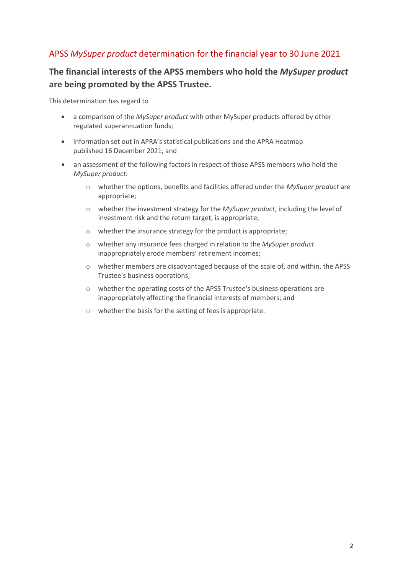# APSS *MySuper product* determination for the financial year to 30 June 2021

# **The financial interests of the APSS members who hold the** *MySuper product* **are being promoted by the APSS Trustee.**

This determination has regard to

- a comparison of the *MySuper product* with other MySuper products offered by other regulated superannuation funds;
- information set out in APRA's statistical publications and the APRA Heatmap published 16 December 2021; and
- an assessment of the following factors in respect of those APSS members who hold the *MySuper product*:
	- o whether the options, benefits and facilities offered under the *MySuper product* are appropriate;
	- o whether the investment strategy for the *MySuper product*, including the level of investment risk and the return target, is appropriate;
	- o whether the insurance strategy for the product is appropriate;
	- o whether any insurance fees charged in relation to the *MySuper product* inappropriately erode members' retirement incomes;
	- o whether members are disadvantaged because of the scale of, and within, the APSS Trustee's business operations;
	- o whether the operating costs of the APSS Trustee's business operations are inappropriately affecting the financial interests of members; and
	- o whether the basis for the setting of fees is appropriate.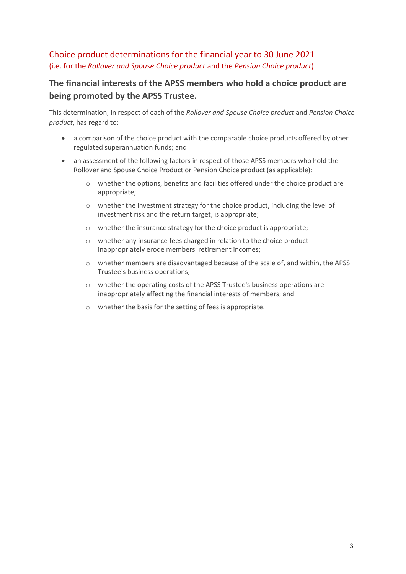# Choice product determinations for the financial year to 30 June 2021 (i.e. for the *Rollover and Spouse Choice product* and the *Pension Choice product*)

# **The financial interests of the APSS members who hold a choice product are being promoted by the APSS Trustee.**

This determination, in respect of each of the *Rollover and Spouse Choice product* and *Pension Choice product*, has regard to:

- a comparison of the choice product with the comparable choice products offered by other regulated superannuation funds; and
- an assessment of the following factors in respect of those APSS members who hold the Rollover and Spouse Choice Product or Pension Choice product (as applicable):
	- $\circ$  whether the options, benefits and facilities offered under the choice product are appropriate;
	- o whether the investment strategy for the choice product, including the level of investment risk and the return target, is appropriate;
	- o whether the insurance strategy for the choice product is appropriate;
	- o whether any insurance fees charged in relation to the choice product inappropriately erode members' retirement incomes;
	- o whether members are disadvantaged because of the scale of, and within, the APSS Trustee's business operations;
	- o whether the operating costs of the APSS Trustee's business operations are inappropriately affecting the financial interests of members; and
	- o whether the basis for the setting of fees is appropriate.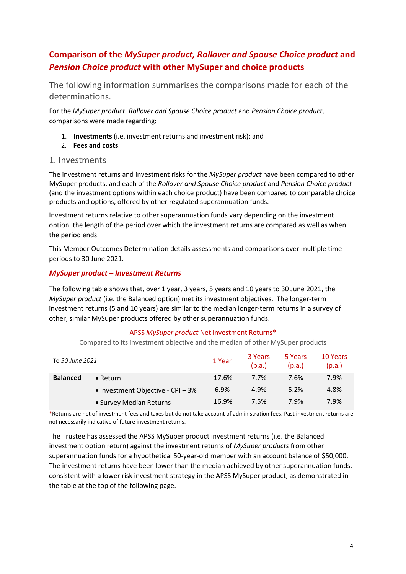# **Comparison of the** *MySuper product, Rollover and Spouse Choice product* **and** *Pension Choice product* **with other MySuper and choice products**

The following information summarises the comparisons made for each of the determinations.

For the *MySuper product*, *Rollover and Spouse Choice product* and *Pension Choice product*, comparisons were made regarding:

- 1. **Investments** (i.e. investment returns and investment risk); and
- 2. **Fees and costs**.

## 1. Investments

The investment returns and investment risks for the *MySuper product* have been compared to other MySuper products, and each of the *Rollover and Spouse Choice product* and *Pension Choice product* (and the investment options within each choice product) have been compared to comparable choice products and options, offered by other regulated superannuation funds.

Investment returns relative to other superannuation funds vary depending on the investment option, the length of the period over which the investment returns are compared as well as when the period ends.

This Member Outcomes Determination details assessments and comparisons over multiple time periods to 30 June 2021.

#### *MySuper product – Investment Returns*

The following table shows that, over 1 year, 3 years, 5 years and 10 years to 30 June 2021, the *MySuper product* (i.e. the Balanced option) met its investment objectives. The longer-term investment returns (5 and 10 years) are similar to the median longer-term returns in a survey of other, similar MySuper products offered by other superannuation funds.

#### APSS *MySuper product* Net Investment Returns\*

Compared to its investment objective and the median of other MySuper products

| To 30 June 2021 |                                   | 1 Year | 3 Years<br>(p.a.) | 5 Years<br>(p.a.) | 10 Years<br>(p.a.) |
|-----------------|-----------------------------------|--------|-------------------|-------------------|--------------------|
| <b>Balanced</b> | $\bullet$ Return                  | 17.6%  | 7.7%              | 7.6%              | 7.9%               |
|                 | • Investment Objective - CPI + 3% | 6.9%   | 4.9%              | 5.2%              | 4.8%               |
|                 | • Survey Median Returns           | 16.9%  | 7.5%              | 7.9%              | 7.9%               |

\*Returns are net of investment fees and taxes but do not take account of administration fees. Past investment returns are not necessarily indicative of future investment returns.

The Trustee has assessed the APSS MySuper product investment returns (i.e. the Balanced investment option return) against the investment returns of *MySuper products* from other superannuation funds for a hypothetical 50-year-old member with an account balance of \$50,000. The investment returns have been lower than the median achieved by other superannuation funds, consistent with a lower risk investment strategy in the APSS MySuper product, as demonstrated in the table at the top of the following page.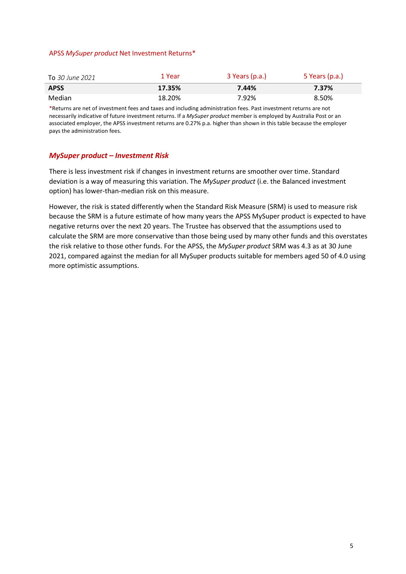#### APSS *MySuper product* Net Investment Returns\*

| To 30 June 2021 | 1 Year | 3 Years (p.a.) | 5 Years (p.a.) |
|-----------------|--------|----------------|----------------|
| <b>APSS</b>     | 17.35% | 7.44%          | 7.37%          |
| Median          | 18.20% | 7.92%          | 8.50%          |

\*Returns are net of investment fees and taxes and including administration fees. Past investment returns are not necessarily indicative of future investment returns. If a *MySuper product* member is employed by Australia Post or an associated employer, the APSS investment returns are 0.27% p.a. higher than shown in this table because the employer pays the administration fees.

#### *MySuper product – Investment Risk*

There is less investment risk if changes in investment returns are smoother over time. Standard deviation is a way of measuring this variation. The *MySuper product* (i.e. the Balanced investment option) has lower-than-median risk on this measure.

However, the risk is stated differently when the Standard Risk Measure (SRM) is used to measure risk because the SRM is a future estimate of how many years the APSS MySuper product is expected to have negative returns over the next 20 years. The Trustee has observed that the assumptions used to calculate the SRM are more conservative than those being used by many other funds and this overstates the risk relative to those other funds. For the APSS, the *MySuper product* SRM was 4.3 as at 30 June 2021, compared against the median for all MySuper products suitable for members aged 50 of 4.0 using more optimistic assumptions.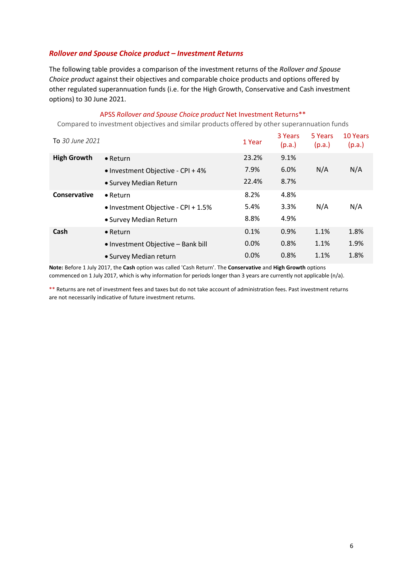#### *Rollover and Spouse Choice product – Investment Returns*

The following table provides a comparison of the investment returns of the *Rollover and Spouse Choice product* against their objectives and comparable choice products and options offered by other regulated superannuation funds (i.e. for the High Growth, Conservative and Cash investment options) to 30 June 2021.

#### APSS *Rollover and Spouse Choice product* Net Investment Returns\*\*

Compared to investment objectives and similar products offered by other superannuation funds

| To 30 June 2021    |                                     | 1 Year | 3 Years<br>(p.a.) | 5 Years<br>(p.a.) | 10 Years<br>(p.a.) |
|--------------------|-------------------------------------|--------|-------------------|-------------------|--------------------|
| <b>High Growth</b> | $\bullet$ Return                    | 23.2%  | 9.1%              |                   |                    |
|                    | • Investment Objective - CPI + 4%   | 7.9%   | 6.0%              | N/A               | N/A                |
|                    | • Survey Median Return              | 22.4%  | 8.7%              |                   |                    |
| Conservative       | $\bullet$ Return                    | 8.2%   | 4.8%              |                   |                    |
|                    | • Investment Objective - CPI + 1.5% | 5.4%   | 3.3%              | N/A               | N/A                |
|                    | • Survey Median Return              | 8.8%   | 4.9%              |                   |                    |
| Cash               | $\bullet$ Return                    | 0.1%   | 0.9%              | 1.1%              | 1.8%               |
|                    | • Investment Objective – Bank bill  | 0.0%   | 0.8%              | 1.1%              | 1.9%               |
|                    | • Survey Median return              | 0.0%   | 0.8%              | 1.1%              | 1.8%               |

**Note:** Before 1 July 2017, the **Cash** option was called 'Cash Return'. The **Conservative** and **High Growth** options commenced on 1 July 2017, which is why information for periods longer than 3 years are currently not applicable (n/a).

\*\* Returns are net of investment fees and taxes but do not take account of administration fees. Past investment returns are not necessarily indicative of future investment returns.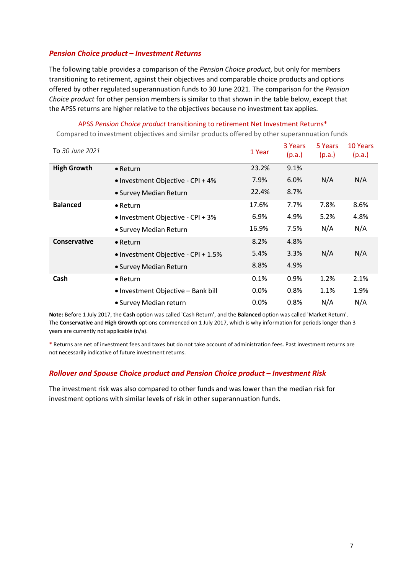#### *Pension Choice product – Investment Returns*

The following table provides a comparison of the *Pension Choice product*, but only for members transitioning to retirement, against their objectives and comparable choice products and options offered by other regulated superannuation funds to 30 June 2021. The comparison for the *Pension Choice product* for other pension members is similar to that shown in the table below, except that the APSS returns are higher relative to the objectives because no investment tax applies.

#### APSS *Pension Choice product* transitioning to retirement Net Investment Returns\*

Compared to investment objectives and similar products offered by other superannuation funds

| To 30 June 2021    |                                     | 1 Year  | 3 Years<br>(p.a.) | 5 Years<br>(p.a.) | 10 Years<br>(p.a.) |
|--------------------|-------------------------------------|---------|-------------------|-------------------|--------------------|
| <b>High Growth</b> | $\bullet$ Return                    | 23.2%   | 9.1%              |                   |                    |
|                    | • Investment Objective - CPI + 4%   | 7.9%    | 6.0%              | N/A               | N/A                |
|                    | • Survey Median Return              | 22.4%   | 8.7%              |                   |                    |
| <b>Balanced</b>    | $\bullet$ Return                    | 17.6%   | 7.7%              | 7.8%              | 8.6%               |
|                    | • Investment Objective - CPI + 3%   | 6.9%    | 4.9%              | 5.2%              | 4.8%               |
|                    | • Survey Median Return              | 16.9%   | 7.5%              | N/A               | N/A                |
| Conservative       | $\bullet$ Return                    | 8.2%    | 4.8%              |                   |                    |
|                    | • Investment Objective - CPI + 1.5% | 5.4%    | 3.3%              | N/A               | N/A                |
|                    | • Survey Median Return              | 8.8%    | 4.9%              |                   |                    |
| Cash               | $\bullet$ Return                    | 0.1%    | 0.9%              | 1.2%              | 2.1%               |
|                    | • Investment Objective - Bank bill  | $0.0\%$ | 0.8%              | 1.1%              | 1.9%               |
|                    | • Survey Median return              | 0.0%    | 0.8%              | N/A               | N/A                |

**Note:** Before 1 July 2017, the **Cash** option was called 'Cash Return', and the **Balanced** option was called 'Market Return'. The **Conservative** and **High Growth** options commenced on 1 July 2017, which is why information for periods longer than 3 years are currently not applicable (n/a).

\* Returns are net of investment fees and taxes but do not take account of administration fees. Past investment returns are not necessarily indicative of future investment returns.

#### *Rollover and Spouse Choice product and Pension Choice product – Investment Risk*

The investment risk was also compared to other funds and was lower than the median risk for investment options with similar levels of risk in other superannuation funds.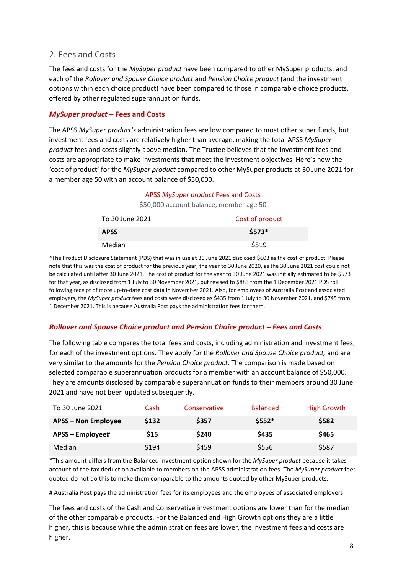## 2. Fees and Costs

The fees and costs for the *MySuper product* have been compared to other MySuper products, and each of the *Rollover and Spouse Choice product* and *Pension Choice product* (and the investment options within each choice product) have been compared to those in comparable choice products, offered by other regulated superannuation funds.

#### *MySuper product* **– Fees and Costs**

The APSS *MySuper product's* administration fees are low compared to most other super funds, but investment fees and costs are relatively higher than average, making the total APSS *MySuper product* fees and costs slightly above median. The Trustee believes that the investment fees and costs are appropriate to make investments that meet the investment objectives. Here's how the 'cost of product' for the *MySuper product* compared to other MySuper products at 30 June 2021 for a member age 50 with an account balance of \$50,000.

#### APSS *MySuper product* Fees and Costs

\$50,000 account balance, member age 50

| To 30 June 2021 | Cost of product |  |  |
|-----------------|-----------------|--|--|
| <b>APSS</b>     | $$573*$         |  |  |
| Median          | \$519           |  |  |

\*The Product Disclosure Statement (PDS) that was in use at 30 June 2021 disclosed \$603 as the cost of product. Please note that this was the cost of product for the previous year, the year to 30 June 2020, as the 30 June 2021 cost could not be calculated until after 30 June 2021. The cost of product for the year to 30 June 2021 was initially estimated to be \$573 for that year, as disclosed from 1 July to 30 November 2021, but revised to \$883 from the 1 December 2021 PDS roll following receipt of more up-to-date cost data in November 2021. Also, for employees of Australia Post and associated employers, the *MySuper product* fees and costs were disclosed as \$435 from 1 July to 30 November 2021, and \$745 from 1 December 2021. This is because Australia Post pays the administration fees for them.

#### *Rollover and Spouse Choice product and Pension Choice product – Fees and Costs*

The following table compares the total fees and costs, including administration and investment fees, for each of the investment options. They apply for the *Rollover and Spouse Choice product,* and are very similar to the amounts for the *Pension Choice product*. The comparison is made based on selected comparable superannuation products for a member with an account balance of \$50,000. They are amounts disclosed by comparable superannuation funds to their members around 30 June 2021 and have not been updated subsequently.

| To 30 June 2021            | Cash  | Conservative | <b>Balanced</b> | <b>High Growth</b> |
|----------------------------|-------|--------------|-----------------|--------------------|
| <b>APSS - Non Employee</b> | \$132 | \$357        | $$5552*$        | \$582              |
| <b>APSS – Employee#</b>    | \$15  | \$240        | \$435           | \$465              |
| Median                     | \$194 | \$459        | \$556           | \$587              |

\*This amount differs from the Balanced investment option shown for the *MySuper product* because it takes account of the tax deduction available to members on the APSS administration fees. The *MySuper product* fees quoted do not do this to make them comparable to the amounts quoted by other MySuper products.

# Australia Post pays the administration fees for its employees and the employees of associated employers.

The fees and costs of the Cash and Conservative investment options are lower than for the median of the other comparable products. For the Balanced and High Growth options they are a little higher, this is because while the administration fees are lower, the investment fees and costs are higher.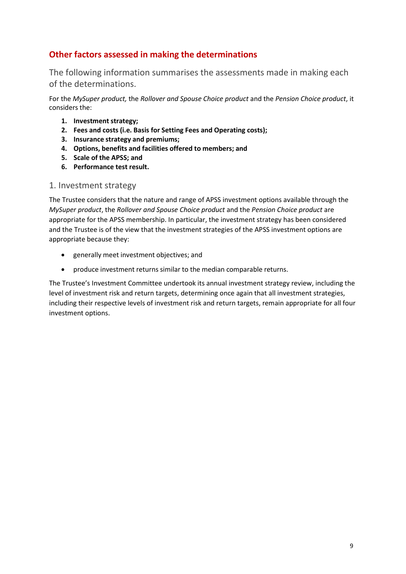# **Other factors assessed in making the determinations**

The following information summarises the assessments made in making each of the determinations.

For the *MySuper product,* the *Rollover and Spouse Choice product* and the *Pension Choice product*, it considers the:

- **1. Investment strategy;**
- **2. Fees and costs (i.e. Basis for Setting Fees and Operating costs);**
- **3. Insurance strategy and premiums;**
- **4. Options, benefits and facilities offered to members; and**
- **5. Scale of the APSS; and**
- **6. Performance test result.**

#### 1. Investment strategy

The Trustee considers that the nature and range of APSS investment options available through the *MySuper product*, the *Rollover and Spouse Choice product* and the *Pension Choice product* are appropriate for the APSS membership. In particular, the investment strategy has been considered and the Trustee is of the view that the investment strategies of the APSS investment options are appropriate because they:

- generally meet investment objectives; and
- produce investment returns similar to the median comparable returns.

The Trustee's Investment Committee undertook its annual investment strategy review, including the level of investment risk and return targets, determining once again that all investment strategies, including their respective levels of investment risk and return targets, remain appropriate for all four investment options.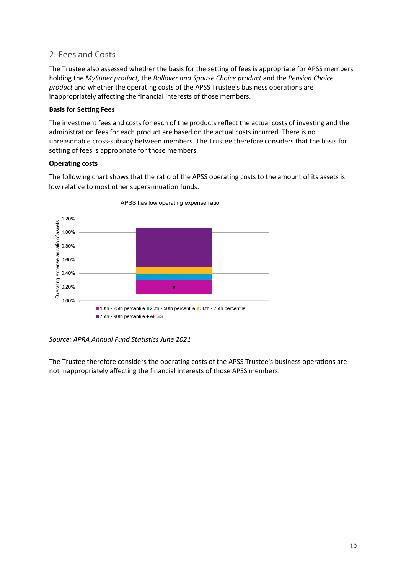## 2. Fees and Costs

The Trustee also assessed whether the basis for the setting of fees is appropriate for APSS members holding the *MySuper product,* the *Rollover and Spouse Choice product* and the *Pension Choice product* and whether the operating costs of the APSS Trustee's business operations are inappropriately affecting the financial interests of those members.

#### **Basis for Setting Fees**

The investment fees and costs for each of the products reflect the actual costs of investing and the administration fees for each product are based on the actual costs incurred. There is no unreasonable cross-subsidy between members. The Trustee therefore considers that the basis for setting of fees is appropriate for those members.

#### **Operating costs**

The following chart shows that the ratio of the APSS operating costs to the amount of its assets is low relative to most other superannuation funds.



APSS has low operating expense ratio

*Source: APRA Annual Fund Statistics June 2021*

The Trustee therefore considers the operating costs of the APSS Trustee's business operations are not inappropriately affecting the financial interests of those APSS members.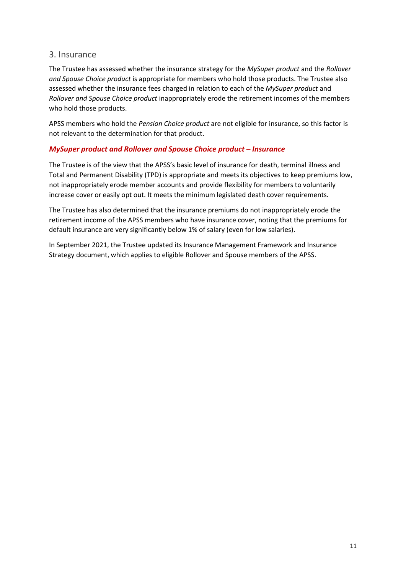## 3. Insurance

The Trustee has assessed whether the insurance strategy for the *MySuper product* and the *Rollover and Spouse Choice product* is appropriate for members who hold those products. The Trustee also assessed whether the insurance fees charged in relation to each of the *MySuper product* and *Rollover and Spouse Choice product* inappropriately erode the retirement incomes of the members who hold those products.

APSS members who hold the *Pension Choice product* are not eligible for insurance, so this factor is not relevant to the determination for that product.

## *MySuper product and Rollover and Spouse Choice product – Insurance*

The Trustee is of the view that the APSS's basic level of insurance for death, terminal illness and Total and Permanent Disability (TPD) is appropriate and meets its objectives to keep premiums low, not inappropriately erode member accounts and provide flexibility for members to voluntarily increase cover or easily opt out. It meets the minimum legislated death cover requirements.

The Trustee has also determined that the insurance premiums do not inappropriately erode the retirement income of the APSS members who have insurance cover, noting that the premiums for default insurance are very significantly below 1% of salary (even for low salaries).

In September 2021, the Trustee updated its Insurance Management Framework and Insurance Strategy document, which applies to eligible Rollover and Spouse members of the APSS.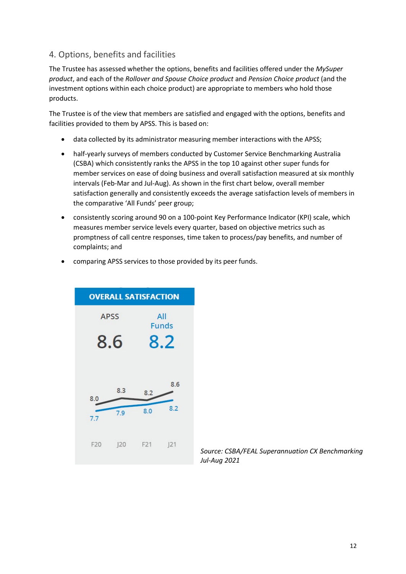## 4. Options, benefits and facilities

The Trustee has assessed whether the options, benefits and facilities offered under the *MySuper product*, and each of the *Rollover and Spouse Choice product* and *Pension Choice product* (and the investment options within each choice product) are appropriate to members who hold those products.

The Trustee is of the view that members are satisfied and engaged with the options, benefits and facilities provided to them by APSS. This is based on:

- data collected by its administrator measuring member interactions with the APSS;
- half-yearly surveys of members conducted by Customer Service Benchmarking Australia (CSBA) which consistently ranks the APSS in the top 10 against other super funds for member services on ease of doing business and overall satisfaction measured at six monthly intervals (Feb-Mar and Jul-Aug). As shown in the first chart below, overall member satisfaction generally and consistently exceeds the average satisfaction levels of members in the comparative 'All Funds' peer group;
- consistently scoring around 90 on a 100-point Key Performance Indicator (KPI) scale, which measures member service levels every quarter, based on objective metrics such as promptness of call centre responses, time taken to process/pay benefits, and number of complaints; and
- comparing APSS services to those provided by its peer funds.



*Source: CSBA/FEAL Superannuation CX Benchmarking Jul-Aug 2021*